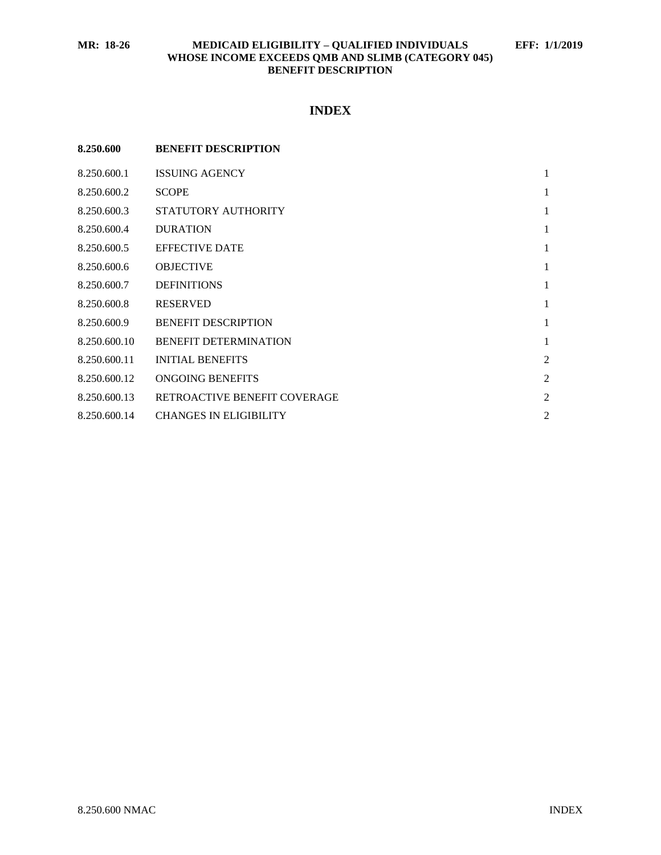# **INDEX**

| 8.250.600    | <b>BENEFIT DESCRIPTION</b>    |                |
|--------------|-------------------------------|----------------|
| 8.250.600.1  | <b>ISSUING AGENCY</b>         | $\mathbf{1}$   |
| 8.250.600.2  | <b>SCOPE</b>                  | 1              |
| 8.250.600.3  | STATUTORY AUTHORITY           | $\mathbf{1}$   |
| 8.250.600.4  | <b>DURATION</b>               | 1              |
| 8.250.600.5  | <b>EFFECTIVE DATE</b>         | 1              |
| 8.250.600.6  | <b>OBJECTIVE</b>              | 1              |
| 8.250.600.7  | <b>DEFINITIONS</b>            | 1              |
| 8.250.600.8  | <b>RESERVED</b>               | 1              |
| 8.250.600.9  | <b>BENEFIT DESCRIPTION</b>    | 1              |
| 8.250.600.10 | <b>BENEFIT DETERMINATION</b>  | 1              |
| 8.250.600.11 | <b>INITIAL BENEFITS</b>       | $\overline{2}$ |
| 8.250.600.12 | ONGOING BENEFITS              | $\overline{2}$ |
| 8.250.600.13 | RETROACTIVE BENEFIT COVERAGE  | $\overline{2}$ |
| 8.250.600.14 | <b>CHANGES IN ELIGIBILITY</b> | $\overline{2}$ |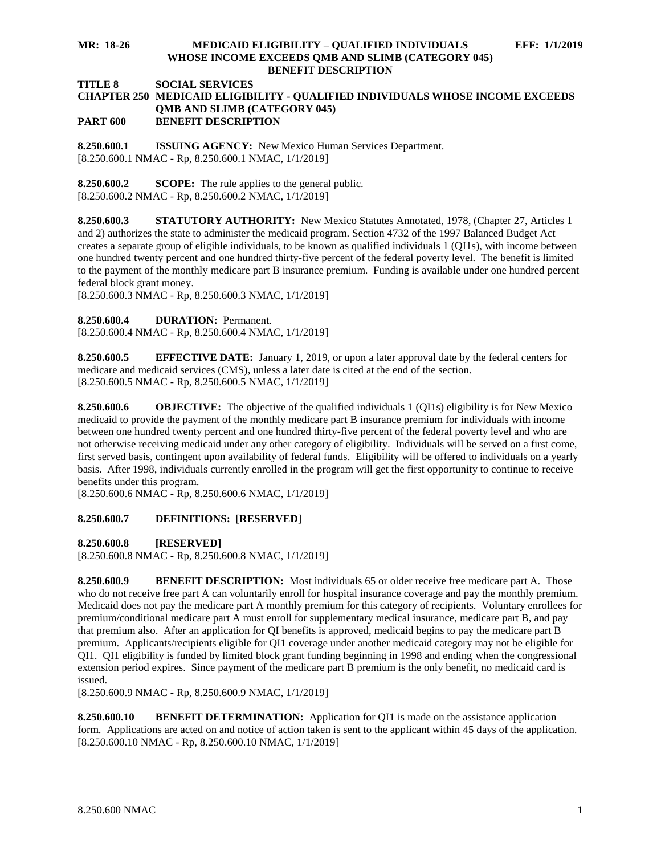#### **MR: 18-26 MEDICAID ELIGIBILITY – QUALIFIED INDIVIDUALS EFF: 1/1/2019 WHOSE INCOME EXCEEDS QMB AND SLIMB (CATEGORY 045) BENEFIT DESCRIPTION**

# **TITLE 8 SOCIAL SERVICES**

#### **CHAPTER 250 MEDICAID ELIGIBILITY - QUALIFIED INDIVIDUALS WHOSE INCOME EXCEEDS QMB AND SLIMB (CATEGORY 045) PART 600 BENEFIT DESCRIPTION**

<span id="page-1-0"></span>**8.250.600.1 ISSUING AGENCY:** New Mexico Human Services Department. [8.250.600.1 NMAC - Rp, 8.250.600.1 NMAC, 1/1/2019]

<span id="page-1-1"></span>**8.250.600.2 SCOPE:** The rule applies to the general public. [8.250.600.2 NMAC - Rp, 8.250.600.2 NMAC, 1/1/2019]

<span id="page-1-2"></span>**8.250.600.3 STATUTORY AUTHORITY:** New Mexico Statutes Annotated, 1978, (Chapter 27, Articles 1 and 2) authorizes the state to administer the medicaid program. Section 4732 of the 1997 Balanced Budget Act creates a separate group of eligible individuals, to be known as qualified individuals 1 (QI1s), with income between one hundred twenty percent and one hundred thirty-five percent of the federal poverty level. The benefit is limited to the payment of the monthly medicare part B insurance premium. Funding is available under one hundred percent federal block grant money.

[8.250.600.3 NMAC - Rp, 8.250.600.3 NMAC, 1/1/2019]

<span id="page-1-3"></span>**8.250.600.4 DURATION:** Permanent.

[8.250.600.4 NMAC - Rp, 8.250.600.4 NMAC, 1/1/2019]

<span id="page-1-4"></span>**8.250.600.5 EFFECTIVE DATE:** January 1, 2019, or upon a later approval date by the federal centers for medicare and medicaid services (CMS), unless a later date is cited at the end of the section. [8.250.600.5 NMAC - Rp, 8.250.600.5 NMAC, 1/1/2019]

<span id="page-1-5"></span>**8.250.600.6 OBJECTIVE:** The objective of the qualified individuals 1 (QI1s) eligibility is for New Mexico medicaid to provide the payment of the monthly medicare part B insurance premium for individuals with income between one hundred twenty percent and one hundred thirty-five percent of the federal poverty level and who are not otherwise receiving medicaid under any other category of eligibility. Individuals will be served on a first come, first served basis, contingent upon availability of federal funds. Eligibility will be offered to individuals on a yearly basis. After 1998, individuals currently enrolled in the program will get the first opportunity to continue to receive benefits under this program.

[8.250.600.6 NMAC - Rp, 8.250.600.6 NMAC, 1/1/2019]

## <span id="page-1-6"></span>**8.250.600.7 DEFINITIONS:** [**RESERVED**]

<span id="page-1-7"></span>**8.250.600.8 [RESERVED]**

[8.250.600.8 NMAC - Rp, 8.250.600.8 NMAC, 1/1/2019]

<span id="page-1-8"></span>**8.250.600.9 BENEFIT DESCRIPTION:** Most individuals 65 or older receive free medicare part A. Those who do not receive free part A can voluntarily enroll for hospital insurance coverage and pay the monthly premium. Medicaid does not pay the medicare part A monthly premium for this category of recipients. Voluntary enrollees for premium/conditional medicare part A must enroll for supplementary medical insurance, medicare part B, and pay that premium also. After an application for QI benefits is approved, medicaid begins to pay the medicare part B premium. Applicants/recipients eligible for QI1 coverage under another medicaid category may not be eligible for QI1. QI1 eligibility is funded by limited block grant funding beginning in 1998 and ending when the congressional extension period expires. Since payment of the medicare part B premium is the only benefit, no medicaid card is issued.

[8.250.600.9 NMAC - Rp, 8.250.600.9 NMAC, 1/1/2019]

<span id="page-1-9"></span>**8.250.600.10 BENEFIT DETERMINATION:** Application for QI1 is made on the assistance application form. Applications are acted on and notice of action taken is sent to the applicant within 45 days of the application. [8.250.600.10 NMAC - Rp, 8.250.600.10 NMAC, 1/1/2019]